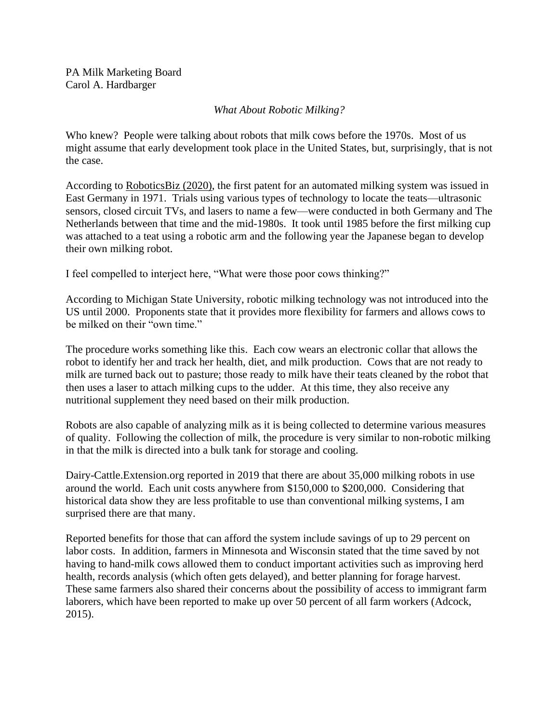PA Milk Marketing Board Carol A. Hardbarger

## *What About Robotic Milking?*

Who knew? People were talking about robots that milk cows before the 1970s. Most of us might assume that early development took place in the United States, but, surprisingly, that is not the case.

According to RoboticsBiz (2020), the first patent for an automated milking system was issued in East Germany in 1971. Trials using various types of technology to locate the teats—ultrasonic sensors, closed circuit TVs, and lasers to name a few—were conducted in both Germany and The Netherlands between that time and the mid-1980s. It took until 1985 before the first milking cup was attached to a teat using a robotic arm and the following year the Japanese began to develop their own milking robot.

I feel compelled to interject here, "What were those poor cows thinking?"

According to Michigan State University, robotic milking technology was not introduced into the US until 2000. Proponents state that it provides more flexibility for farmers and allows cows to be milked on their "own time."

The procedure works something like this. Each cow wears an electronic collar that allows the robot to identify her and track her health, diet, and milk production. Cows that are not ready to milk are turned back out to pasture; those ready to milk have their teats cleaned by the robot that then uses a laser to attach milking cups to the udder. At this time, they also receive any nutritional supplement they need based on their milk production.

Robots are also capable of analyzing milk as it is being collected to determine various measures of quality. Following the collection of milk, the procedure is very similar to non-robotic milking in that the milk is directed into a bulk tank for storage and cooling.

Dairy-Cattle.Extension.org reported in 2019 that there are about 35,000 milking robots in use around the world. Each unit costs anywhere from \$150,000 to \$200,000. Considering that historical data show they are less profitable to use than conventional milking systems, I am surprised there are that many.

Reported benefits for those that can afford the system include savings of up to 29 percent on labor costs. In addition, farmers in Minnesota and Wisconsin stated that the time saved by not having to hand-milk cows allowed them to conduct important activities such as improving herd health, records analysis (which often gets delayed), and better planning for forage harvest. These same farmers also shared their concerns about the possibility of access to immigrant farm laborers, which have been reported to make up over 50 percent of all farm workers (Adcock, 2015).